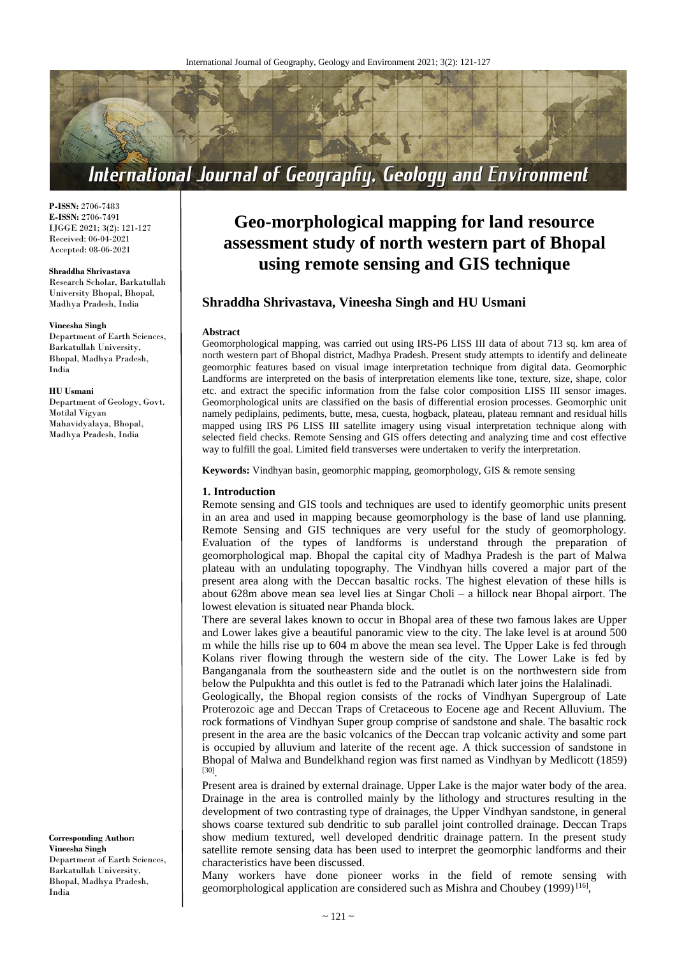

**P-ISSN:** 2706-7483 **E-ISSN:** 2706-7491 IJGGE 2021; 3(2): 121-127 Received: 06-04-2021 Accepted: 08-06-2021

#### **Shraddha Shrivastava**

Research Scholar, Barkatullah University Bhopal, Bhopal, Madhya Pradesh, India

#### **Vineesha Singh**

Department of Earth Sciences, Barkatullah University, Bhopal, Madhya Pradesh, India

#### **HU Usmani**

Department of Geology, Govt. Motilal Vigyan Mahavidyalaya, Bhopal, Madhya Pradesh, India

**Corresponding Author: Vineesha Singh** Department of Earth Sciences, Barkatullah University, Bhopal, Madhya Pradesh, India

# **Geo-morphological mapping for land resource assessment study of north western part of Bhopal using remote sensing and GIS technique**

# **Shraddha Shrivastava, Vineesha Singh and HU Usmani**

#### **Abstract**

Geomorphological mapping, was carried out using IRS-P6 LISS III data of about 713 sq. km area of north western part of Bhopal district, Madhya Pradesh. Present study attempts to identify and delineate geomorphic features based on visual image interpretation technique from digital data. Geomorphic Landforms are interpreted on the basis of interpretation elements like tone, texture, size, shape, color etc. and extract the specific information from the false color composition LISS III sensor images. Geomorphological units are classified on the basis of differential erosion processes. Geomorphic unit namely pediplains, pediments, butte, mesa, cuesta, hogback, plateau, plateau remnant and residual hills mapped using IRS P6 LISS III satellite imagery using visual interpretation technique along with selected field checks. Remote Sensing and GIS offers detecting and analyzing time and cost effective way to fulfill the goal. Limited field transverses were undertaken to verify the interpretation.

**Keywords:** Vindhyan basin, geomorphic mapping, geomorphology, GIS & remote sensing

#### **1. Introduction**

Remote sensing and GIS tools and techniques are used to identify geomorphic units present in an area and used in mapping because geomorphology is the base of land use planning. Remote Sensing and GIS techniques are very useful for the study of geomorphology. Evaluation of the types of landforms is understand through the preparation of geomorphological map. Bhopal the capital city of Madhya Pradesh is the part of Malwa plateau with an undulating topography. The Vindhyan hills covered a major part of the present area along with the Deccan basaltic rocks. The highest elevation of these hills is about 628m above mean sea level lies at Singar Choli – a hillock near Bhopal airport. The lowest elevation is situated near Phanda block.

There are several lakes known to occur in Bhopal area of these two famous lakes are Upper and Lower lakes give a beautiful panoramic view to the city. The lake level is at around 500 m while the hills rise up to 604 m above the mean sea level. The Upper Lake is fed through Kolans river flowing through the western side of the city. The Lower Lake is fed by Banganganala from the southeastern side and the outlet is on the northwestern side from below the Pulpukhta and this outlet is fed to the Patranadi which later joins the Halalinadi.

Geologically, the Bhopal region consists of the rocks of Vindhyan Supergroup of Late Proterozoic age and Deccan Traps of Cretaceous to Eocene age and Recent Alluvium. The rock formations of Vindhyan Super group comprise of sandstone and shale. The basaltic rock present in the area are the basic volcanics of the Deccan trap volcanic activity and some part is occupied by alluvium and laterite of the recent age. A thick succession of sandstone in Bhopal of Malwa and Bundelkhand region was first named as Vindhyan by Medlicott (1859) [30] .

Present area is drained by external drainage. Upper Lake is the major water body of the area. Drainage in the area is controlled mainly by the lithology and structures resulting in the development of two contrasting type of drainages, the Upper Vindhyan sandstone, in general shows coarse textured sub dendritic to sub parallel joint controlled drainage. Deccan Traps show medium textured, well developed dendritic drainage pattern. In the present study satellite remote sensing data has been used to interpret the geomorphic landforms and their characteristics have been discussed.

Many workers have done pioneer works in the field of remote sensing with geomorphological application are considered such as Mishra and Choubey (1999)<sup>[16]</sup>,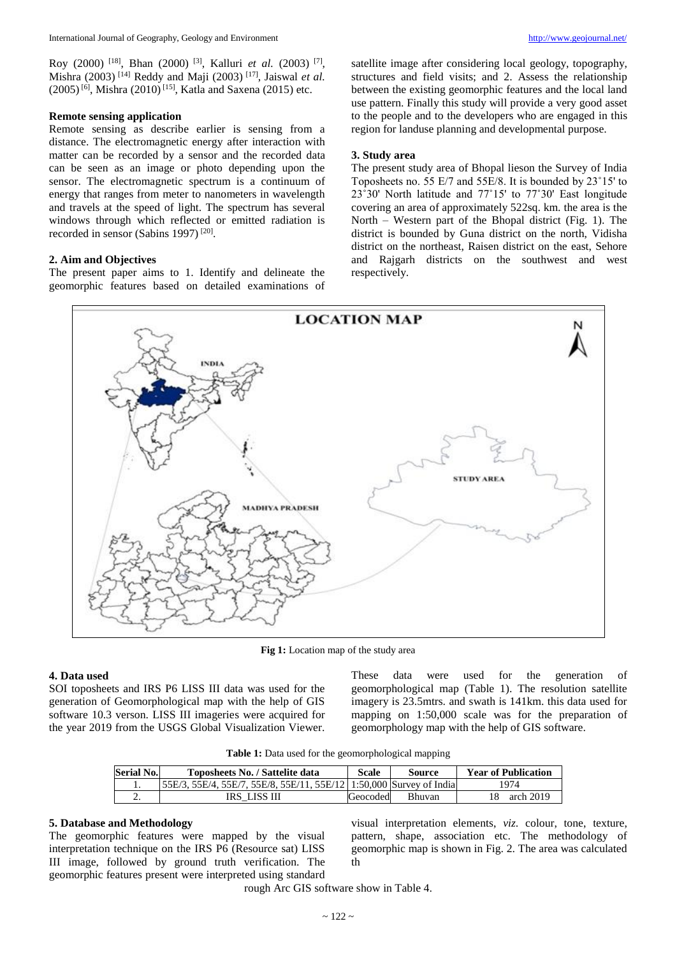Roy (2000) <sup>[18]</sup>, Bhan (2000) <sup>[3]</sup>, Kalluri *et al.* (2003) <sup>[7]</sup>, Mishra (2003) [14] Reddy and Maji (2003) [17] , Jaiswal *et al.*  $(2005)^{6}$ , Mishra  $(2010)^{[15]}$ , Katla and Saxena  $(2015)$  etc.

### **Remote sensing application**

Remote sensing as describe earlier is sensing from a distance. The electromagnetic energy after interaction with matter can be recorded by a sensor and the recorded data can be seen as an image or photo depending upon the sensor. The electromagnetic spectrum is a continuum of energy that ranges from meter to nanometers in wavelength and travels at the speed of light. The spectrum has several windows through which reflected or emitted radiation is recorded in sensor (Sabins 1997)<sup>[20]</sup>.

## **2. Aim and Objectives**

The present paper aims to 1. Identify and delineate the geomorphic features based on detailed examinations of satellite image after considering local geology, topography, structures and field visits; and 2. Assess the relationship between the existing geomorphic features and the local land use pattern. Finally this study will provide a very good asset to the people and to the developers who are engaged in this region for landuse planning and developmental purpose.

## **3. Study area**

The present study area of Bhopal lieson the Survey of India Toposheets no. 55 E/7 and 55E/8. It is bounded by 23˚15' to 23˚30' North latitude and 77˚15' to 77˚30' East longitude covering an area of approximately 522sq. km. the area is the North – Western part of the Bhopal district (Fig. 1). The district is bounded by Guna district on the north, Vidisha district on the northeast, Raisen district on the east, Sehore and Rajgarh districts on the southwest and west respectively.



**Fig 1:** Location map of the study area

## **4. Data used**

SOI toposheets and IRS P6 LISS III data was used for the generation of Geomorphological map with the help of GIS software 10.3 verson. LISS III imageries were acquired for the year 2019 from the USGS Global Visualization Viewer.

These data were used for the generation of geomorphological map (Table 1). The resolution satellite imagery is 23.5mtrs. and swath is 141km. this data used for mapping on 1:50,000 scale was for the preparation of geomorphology map with the help of GIS software.

**Table 1:** Data used for the geomorphological mapping

| Serial No. | Toposheets No. / Sattelite data                                     | Scale    | Source        | <b>Year of Publication</b> |
|------------|---------------------------------------------------------------------|----------|---------------|----------------------------|
|            | 55E/3, 55E/4, 55E/7, 55E/8, 55E/11, 55E/12 1:50,000 Survey of India |          |               | 1974                       |
| <u>.</u>   | IRS LISS III                                                        | Geocoded | <b>Bhuvan</b> | arch 2019                  |

#### **5. Database and Methodology**

The geomorphic features were mapped by the visual interpretation technique on the IRS P6 (Resource sat) LISS III image, followed by ground truth verification. The geomorphic features present were interpreted using standard

visual interpretation elements, *viz*. colour, tone, texture, pattern, shape, association etc. The methodology of geomorphic map is shown in Fig. 2. The area was calculated th

rough Arc GIS software show in Table 4.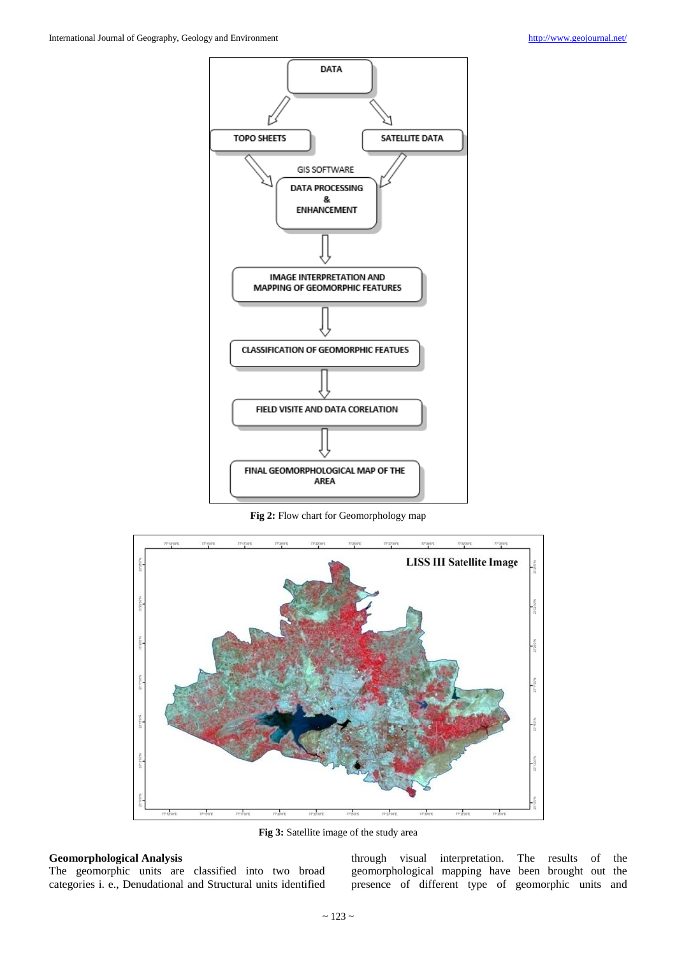

**Fig 2:** Flow chart for Geomorphology map



**Fig 3:** Satellite image of the study area

# **Geomorphological Analysis**

The geomorphic units are classified into two broad categories i. e., Denudational and Structural units identified

through visual interpretation. The results of the geomorphological mapping have been brought out the presence of different type of geomorphic units and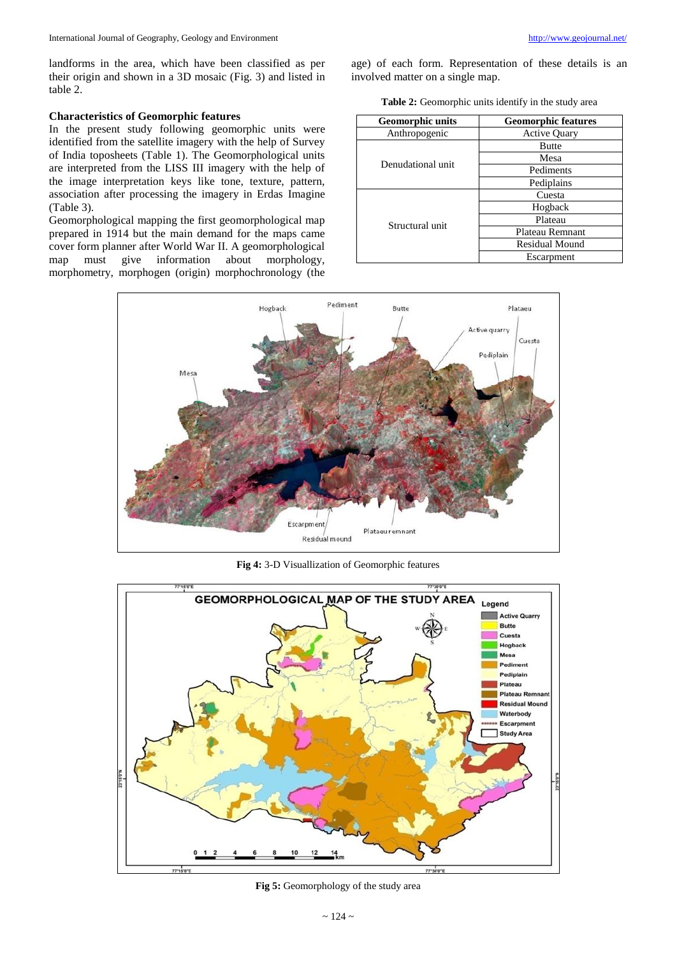landforms in the area, which have been classified as per their origin and shown in a 3D mosaic (Fig. 3) and listed in table 2.

## **Characteristics of Geomorphic features**

In the present study following geomorphic units were identified from the satellite imagery with the help of Survey of India toposheets (Table 1). The Geomorphological units are interpreted from the LISS III imagery with the help of the image interpretation keys like tone, texture, pattern, association after processing the imagery in Erdas Imagine (Table 3).

Geomorphological mapping the first geomorphological map prepared in 1914 but the main demand for the maps came cover form planner after World War II. A geomorphological map must give information about morphology, map must give information about morphology, morphometry, morphogen (origin) morphochronology (the age) of each form. Representation of these details is an involved matter on a single map.

**Table 2:** Geomorphic units identify in the study area

| <b>Geomorphic units</b> | <b>Geomorphic features</b> |  |
|-------------------------|----------------------------|--|
| Anthropogenic           | <b>Active Quary</b>        |  |
|                         | <b>Butte</b>               |  |
| Denudational unit       | Mesa                       |  |
|                         | Pediments                  |  |
|                         | Pediplains                 |  |
|                         | Cuesta                     |  |
|                         | Hogback                    |  |
| Structural unit         | Plateau                    |  |
|                         | Plateau Remnant            |  |
|                         | <b>Residual Mound</b>      |  |
|                         | Escarpment                 |  |



**Fig 4:** 3-D Visuallization of Geomorphic features



**Fig 5:** Geomorphology of the study area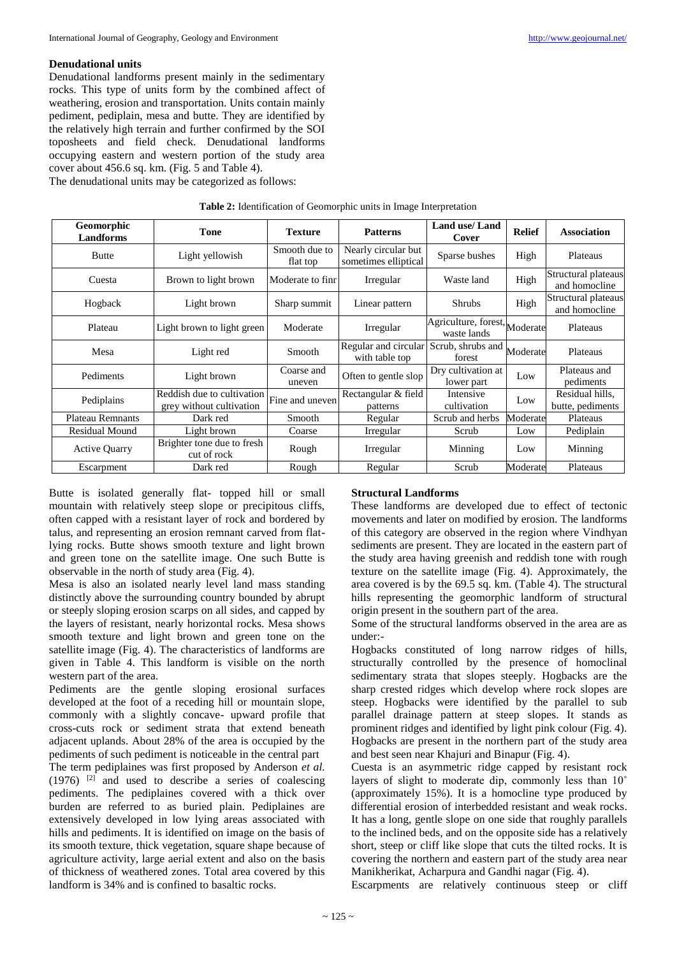# **Denudational units**

Denudational landforms present mainly in the sedimentary rocks. This type of units form by the combined affect of weathering, erosion and transportation. Units contain mainly pediment, pediplain, mesa and butte. They are identified by the relatively high terrain and further confirmed by the SOI toposheets and field check. Denudational landforms occupying eastern and western portion of the study area cover about 456.6 sq. km. (Fig. 5 and Table 4).

The denudational units may be categorized as follows:

| <b>Geomorphic</b><br>Landforms | <b>Tone</b>                                            | <b>Texture</b>            | <b>Patterns</b>                             | Land use/Land<br>Cover                       | <b>Relief</b> | <b>Association</b>                   |
|--------------------------------|--------------------------------------------------------|---------------------------|---------------------------------------------|----------------------------------------------|---------------|--------------------------------------|
| <b>Butte</b>                   | Light yellowish                                        | Smooth due to<br>flat top | Nearly circular but<br>sometimes elliptical | Sparse bushes                                | High          | Plateaus                             |
| Cuesta                         | Brown to light brown                                   | Moderate to finr          | Irregular                                   | Waste land                                   | High          | Structural plateaus<br>and homocline |
| Hogback                        | Light brown                                            | Sharp summit              | Linear pattern                              | <b>Shrubs</b>                                | High          | Structural plateaus<br>and homocline |
| Plateau                        | Light brown to light green                             | Moderate                  | Irregular                                   | Agriculture, forest, Moderate<br>waste lands |               | Plateaus                             |
| Mesa                           | Light red                                              | Smooth                    | Regular and circular<br>with table top      | Scrub, shrubs and<br>forest                  | Moderate      | Plateaus                             |
| Pediments                      | Light brown                                            | Coarse and<br>uneven      | Often to gentle slop                        | Dry cultivation at<br>lower part             | Low           | Plateaus and<br>pediments            |
| Pediplains                     | Reddish due to cultivation<br>grey without cultivation | Fine and uneven           | Rectangular & field<br>patterns             | Intensive<br>cultivation                     | Low           | Residual hills.<br>butte, pediments  |
| <b>Plateau Remnants</b>        | Dark red                                               | Smooth                    | Regular                                     | Scrub and herbs                              | Moderate      | Plateaus                             |
| <b>Residual Mound</b>          | Light brown                                            | Coarse                    | Irregular                                   | Scrub                                        | Low           | Pediplain                            |
| <b>Active Quarry</b>           | Brighter tone due to fresh<br>cut of rock              | Rough                     | Irregular                                   | Minning                                      | Low           | Minning                              |
| Escarpment                     | Dark red                                               | Rough                     | Regular                                     | Scrub                                        | Moderate      | Plateaus                             |

## **Table 2:** Identification of Geomorphic units in Image Interpretation

Butte is isolated generally flat- topped hill or small mountain with relatively steep slope or precipitous cliffs, often capped with a resistant layer of rock and bordered by talus, and representing an erosion remnant carved from flatlying rocks. Butte shows smooth texture and light brown and green tone on the satellite image. One such Butte is observable in the north of study area (Fig. 4).

Mesa is also an isolated nearly level land mass standing distinctly above the surrounding country bounded by abrupt or steeply sloping erosion scarps on all sides, and capped by the layers of resistant, nearly horizontal rocks. Mesa shows smooth texture and light brown and green tone on the satellite image (Fig. 4). The characteristics of landforms are given in Table 4. This landform is visible on the north western part of the area.

Pediments are the gentle sloping erosional surfaces developed at the foot of a receding hill or mountain slope, commonly with a slightly concave- upward profile that cross-cuts rock or sediment strata that extend beneath adjacent uplands. About 28% of the area is occupied by the pediments of such pediment is noticeable in the central part The term pediplaines was first proposed by Anderson *et al.*  $(1976)$ <sup>[2]</sup> and used to describe a series of coalescing pediments. The pediplaines covered with a thick over burden are referred to as buried plain. Pediplaines are extensively developed in low lying areas associated with hills and pediments. It is identified on image on the basis of its smooth texture, thick vegetation, square shape because of agriculture activity, large aerial extent and also on the basis of thickness of weathered zones. Total area covered by this landform is 34% and is confined to basaltic rocks.

# **Structural Landforms**

These landforms are developed due to effect of tectonic movements and later on modified by erosion. The landforms of this category are observed in the region where Vindhyan sediments are present. They are located in the eastern part of the study area having greenish and reddish tone with rough texture on the satellite image (Fig. 4). Approximately, the area covered is by the 69.5 sq. km. (Table 4). The structural hills representing the geomorphic landform of structural origin present in the southern part of the area.

Some of the structural landforms observed in the area are as under:-

Hogbacks constituted of long narrow ridges of hills, structurally controlled by the presence of homoclinal sedimentary strata that slopes steeply. Hogbacks are the sharp crested ridges which develop where rock slopes are steep. Hogbacks were identified by the parallel to sub parallel drainage pattern at steep slopes. It stands as prominent ridges and identified by light pink colour (Fig. 4). Hogbacks are present in the northern part of the study area and best seen near Khajuri and Binapur (Fig. 4).

Cuesta is an asymmetric ridge capped by resistant rock layers of slight to moderate dip, commonly less than 10˚ (approximately 15%). It is a homocline type produced by differential erosion of interbedded resistant and weak rocks. It has a long, gentle slope on one side that roughly parallels to the inclined beds, and on the opposite side has a relatively short, steep or cliff like slope that cuts the tilted rocks. It is covering the northern and eastern part of the study area near Manikherikat, Acharpura and Gandhi nagar (Fig. 4).

Escarpments are relatively continuous steep or cliff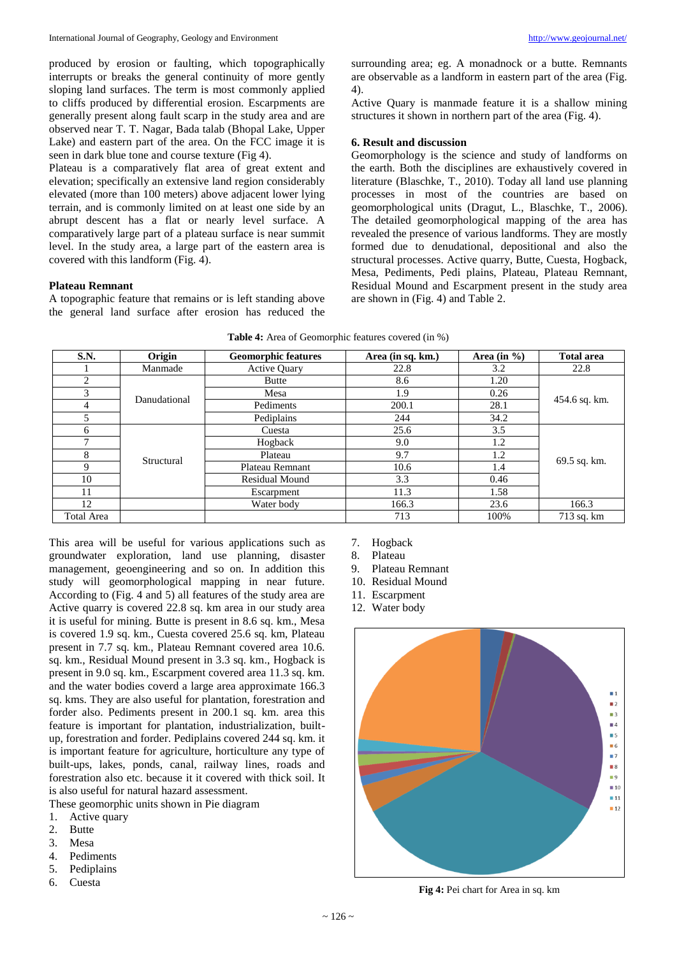produced by erosion or faulting, which topographically interrupts or breaks the general continuity of more gently sloping land surfaces. The term is most commonly applied to cliffs produced by differential erosion. Escarpments are generally present along fault scarp in the study area and are observed near T. T. Nagar, Bada talab (Bhopal Lake, Upper Lake) and eastern part of the area. On the FCC image it is seen in dark blue tone and course texture (Fig 4).

Plateau is a comparatively flat area of great extent and elevation; specifically an extensive land region considerably elevated (more than 100 meters) above adjacent lower lying terrain, and is commonly limited on at least one side by an abrupt descent has a flat or nearly level surface. A comparatively large part of a plateau surface is near summit level. In the study area, a large part of the eastern area is covered with this landform (Fig. 4).

# **Plateau Remnant**

A topographic feature that remains or is left standing above the general land surface after erosion has reduced the surrounding area; eg. A monadnock or a butte. Remnants are observable as a landform in eastern part of the area (Fig. 4).

Active Quary is manmade feature it is a shallow mining structures it shown in northern part of the area (Fig. 4).

## **6. Result and discussion**

Geomorphology is the science and study of landforms on the earth. Both the disciplines are exhaustively covered in literature (Blaschke, T., 2010). Today all land use planning processes in most of the countries are based on geomorphological units (Dragut, L., Blaschke, T., 2006). The detailed geomorphological mapping of the area has revealed the presence of various landforms. They are mostly formed due to denudational, depositional and also the structural processes. Active quarry, Butte, Cuesta, Hogback, Mesa, Pediments, Pedi plains, Plateau, Plateau Remnant, Residual Mound and Escarpment present in the study area are shown in (Fig. 4) and Table 2.

| S.N.         | Origin       | <b>Geomorphic features</b> | Area (in sq. km.) | Area (in $\%$ ) | <b>Total area</b> |  |
|--------------|--------------|----------------------------|-------------------|-----------------|-------------------|--|
|              | Manmade      | <b>Active Quary</b>        | 22.8              | 3.2             | 22.8              |  |
| 2            |              | Butte                      | 8.6               | 1.20            |                   |  |
| 3            | Danudational | Mesa                       | 1.9               | 0.26            | 454.6 sq. km.     |  |
| 4            |              | Pediments                  | 200.1             | 28.1            |                   |  |
| 5            |              | Pediplains                 | 244               | 34.2            |                   |  |
| 6            |              | Cuesta                     | 25.6              | 3.5             |                   |  |
| $\mathbf{r}$ |              | Hogback                    | 9.0               | 1.2             |                   |  |
| 8            | Structural   | Plateau                    | 9.7               | 1.2             |                   |  |
| 9            |              | Plateau Remnant            | 10.6              | 1.4             | 69.5 sq. km.      |  |
| 10           |              | <b>Residual Mound</b>      | 3.3               | 0.46            |                   |  |
| 11           |              | Escarpment                 | 11.3              | 1.58            |                   |  |
| 12           |              | Water body                 | 166.3             | 23.6            | 166.3             |  |
| Total Area   |              |                            | 713               | 100%            | 713 sq. km        |  |

|  | <b>Table 4:</b> Area of Geomorphic features covered (in %) |  |
|--|------------------------------------------------------------|--|
|--|------------------------------------------------------------|--|

This area will be useful for various applications such as groundwater exploration, land use planning, disaster management, geoengineering and so on. In addition this study will geomorphological mapping in near future. According to (Fig. 4 and 5) all features of the study area are Active quarry is covered 22.8 sq. km area in our study area it is useful for mining. Butte is present in 8.6 sq. km., Mesa is covered 1.9 sq. km., Cuesta covered 25.6 sq. km, Plateau present in 7.7 sq. km., Plateau Remnant covered area 10.6. sq. km., Residual Mound present in 3.3 sq. km., Hogback is present in 9.0 sq. km., Escarpment covered area 11.3 sq. km. and the water bodies coverd a large area approximate 166.3 sq. kms. They are also useful for plantation, forestration and forder also. Pediments present in 200.1 sq. km. area this feature is important for plantation, industrialization, builtup, forestration and forder. Pediplains covered 244 sq. km. it is important feature for agriculture, horticulture any type of built-ups, lakes, ponds, canal, railway lines, roads and forestration also etc. because it it covered with thick soil. It is also useful for natural hazard assessment.

These geomorphic units shown in Pie diagram

- 1. Active quary
- 2. Butte
- 3. Mesa
- 4. Pediments
- 5. Pediplains
- 6. Cuesta
- 7. Hogback
- 8. Plateau
- 9. Plateau Remnant
- 10. Residual Mound
- 11. Escarpment
- 12. Water body



**Fig 4:** Pei chart for Area in sq. km